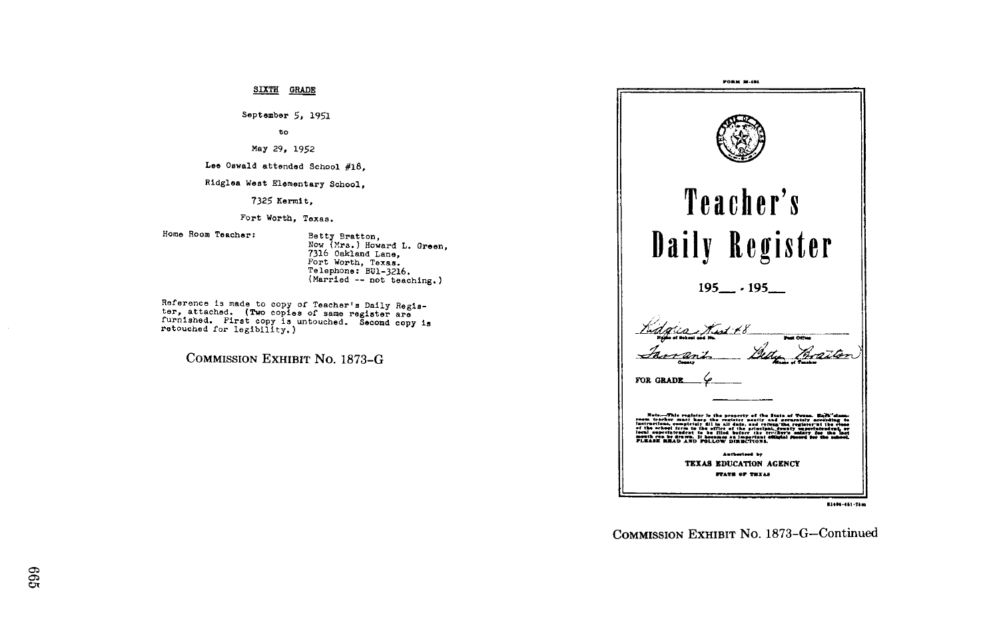SIXTH GRADE

September 5, 1951

to

May 29, 1952

Lee Oswald attended School #18,

Ridglea West Elementary School,

7325 Kermit,

Fort Worth, Texas .

Home Room Teacher : Batty Bratt .n, No (Mrs ) <sup>H</sup> ward L . Green, 7316 Oakland Lane,<br>Fort Worth, Texas.<br>Talerbores BUL200 Te lephone : BUl-3216 . Married - not teaching .) Telephone: BU1-3216.

Reference is made to copy neierence is made to copy of Teacher's Daily Regis-<br>ter, attached. (Two copies of same register are ter, attached. (Two copies of same register are<br>furnished. First copy is untouched. Second copy is<br>retouched for legibility.) retouched for legibility.)

COMMISSION EXHIBIT No. 1873-G



81406-451-78m

COMMISSION EXHIBIT No. 1873-G-Continued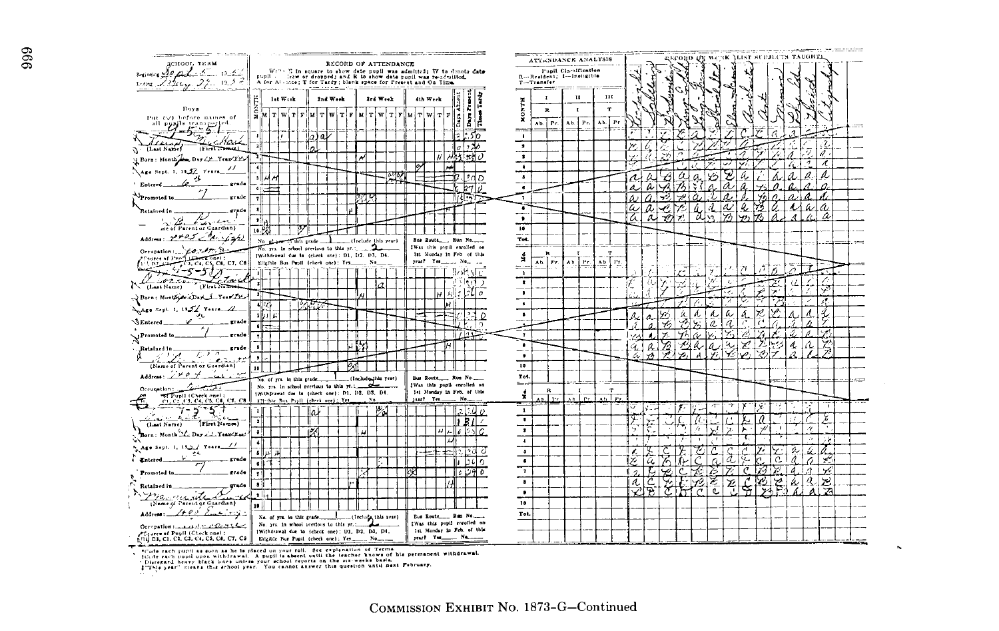| -------<br>The Sunday Street                                                                                                                                                                                                                                                                                                                                                                                                                                                                                         |                                                                                                                                                                                                                                                                                                                                          |                                                           |                                                      |               |                         |                                          |                                   |
|----------------------------------------------------------------------------------------------------------------------------------------------------------------------------------------------------------------------------------------------------------------------------------------------------------------------------------------------------------------------------------------------------------------------------------------------------------------------------------------------------------------------|------------------------------------------------------------------------------------------------------------------------------------------------------------------------------------------------------------------------------------------------------------------------------------------------------------------------------------------|-----------------------------------------------------------|------------------------------------------------------|---------------|-------------------------|------------------------------------------|-----------------------------------|
| деноот, таки                                                                                                                                                                                                                                                                                                                                                                                                                                                                                                         | RECORD OF ATTENDANCE                                                                                                                                                                                                                                                                                                                     |                                                           | ATTENDANCE ANALYSIS                                  |               | :ГОВ <del>О О</del> К   | WCR JUST SUBJECTS TAUGHTA                |                                   |
| Beginning 20 all 5<br>$13 - 2$                                                                                                                                                                                                                                                                                                                                                                                                                                                                                       | Wr''s E in square to show date pupil was admitted: W to denote date pupil  from or dropped; and R to show date pupil was re-odmitted.                                                                                                                                                                                                    |                                                           | Pupil Claraffication<br>R  Resident; I .- Inclinible |               |                         |                                          |                                   |
| $13.5 - 7$<br>$5$ and $22$ $\mu$                                                                                                                                                                                                                                                                                                                                                                                                                                                                                     | A for Alence; T for Tardy; blank space for Present and On Time.<br>. nam                                                                                                                                                                                                                                                                 |                                                           | T--Transler<br>$-$<br>-                              |               |                         |                                          |                                   |
|                                                                                                                                                                                                                                                                                                                                                                                                                                                                                                                      | let Weck<br>Ind West<br>Sed Week<br>4th Week                                                                                                                                                                                                                                                                                             |                                                           | $\mathbf{H}$<br>111<br>$\mathbf{r}$                  |               |                         |                                          |                                   |
| Roys                                                                                                                                                                                                                                                                                                                                                                                                                                                                                                                 | Ę                                                                                                                                                                                                                                                                                                                                        | Ĩ.<br>I A.                                                | <b>HANGI</b><br>$\mathbf T$                          |               |                         |                                          |                                   |
| Put (V) before names of                                                                                                                                                                                                                                                                                                                                                                                                                                                                                              | $ y $ $T$ $ W $ $T$ $ F $<br>$\begin{array}{c} \textbf{M} & \textbf{T} \end{array} \begin{array}{c} \textbf{W} & \textbf{T} \end{array} \begin{array}{c} \textbf{T} & \textbf{M} \end{array} \begin{array}{c} \textbf{T} & \textbf{W} & \textbf{T} \end{array} \begin{array}{c} \textbf{Y} & \textbf{Y} \end{array}$<br>$x$ T W T F<br>я | ۱R                                                        | $\mathbf{R}$<br>T.                                   |               |                         |                                          |                                   |
|                                                                                                                                                                                                                                                                                                                                                                                                                                                                                                                      |                                                                                                                                                                                                                                                                                                                                          | Ŀ<br>۱ä<br>١F                                             | Ab. Pr.<br>Pr.<br>Ab.<br>Ab.<br>222                  | l Pr          |                         |                                          |                                   |
| all posts transport                                                                                                                                                                                                                                                                                                                                                                                                                                                                                                  | ىلە<br>lla.                                                                                                                                                                                                                                                                                                                              | 50                                                        | $\cdot$                                              |               |                         |                                          |                                   |
| Mail<br>(First Transac)<br>[Last Name]                                                                                                                                                                                                                                                                                                                                                                                                                                                                               | $\mathbf{z}$                                                                                                                                                                                                                                                                                                                             | ەل د                                                      | $\pmb{\ast}$                                         |               |                         |                                          |                                   |
| Porn: Month Day LE Year It.                                                                                                                                                                                                                                                                                                                                                                                                                                                                                          |                                                                                                                                                                                                                                                                                                                                          | lsd <i>i</i> )                                            | $\bullet$                                            |               |                         | 4<br>Á                                   | A                                 |
| $^{\prime\prime}$<br>Age Sept. 1, 19.57 Years_                                                                                                                                                                                                                                                                                                                                                                                                                                                                       | $\ddot{\phantom{a}}$                                                                                                                                                                                                                                                                                                                     |                                                           | $\bullet$                                            |               |                         | 1                                        | л                                 |
| ц                                                                                                                                                                                                                                                                                                                                                                                                                                                                                                                    | sl                                                                                                                                                                                                                                                                                                                                       | D                                                         | $\bullet$                                            | €             |                         |                                          | a                                 |
| erade<br>Entered                                                                                                                                                                                                                                                                                                                                                                                                                                                                                                     | ≐⊫∙                                                                                                                                                                                                                                                                                                                                      |                                                           | $\bullet$                                            |               |                         |                                          |                                   |
| Promoted to.<br>grade                                                                                                                                                                                                                                                                                                                                                                                                                                                                                                | 7                                                                                                                                                                                                                                                                                                                                        | 团结性                                                       | $\overline{\phantom{a}}$                             |               |                         | A                                        |                                   |
| grade<br>Retained in                                                                                                                                                                                                                                                                                                                                                                                                                                                                                                 | -sl                                                                                                                                                                                                                                                                                                                                      |                                                           | T                                                    | a             |                         | W<br>4<br>h                              | Δ                                 |
| $\mathbb{Z}$<br>ناسيف بالمطا                                                                                                                                                                                                                                                                                                                                                                                                                                                                                         | - 11                                                                                                                                                                                                                                                                                                                                     |                                                           | $\bullet$                                            | ā<br>α<br>70, | a<br>$\mathbf{z}$<br>v. | 52)<br>YZ.                               |                                   |
| me of Parent or Guardian)                                                                                                                                                                                                                                                                                                                                                                                                                                                                                            | 16.PG                                                                                                                                                                                                                                                                                                                                    |                                                           | $\overline{10}$                                      |               |                         |                                          |                                   |
| Address go to 5 Painfight                                                                                                                                                                                                                                                                                                                                                                                                                                                                                            | No. $0$<br>(Include this year)<br>in this grade                                                                                                                                                                                                                                                                                          |                                                           | $\overline{7}$ ok.                                   |               |                         |                                          |                                   |
| Occupation: $f(x, A)$                                                                                                                                                                                                                                                                                                                                                                                                                                                                                                |                                                                                                                                                                                                                                                                                                                                          | IWas this pupil enrolled on<br>1st Monday in Feb of this  | $- -$<br>R<br>m                                      |               |                         |                                          |                                   |
| $P1$ and $P1$ and $P2$ and $P3$ and $P4$ and $P5$ and $P6$ and $P7$ and $P7$                                                                                                                                                                                                                                                                                                                                                                                                                                         | [Withdrawal due to (check one): D1, D2, D3, D4.<br>Eligible Bus Pupil (check one): Yes                                                                                                                                                                                                                                                   | year? Yet  No.,                                           | á<br>$AD$ $Pr$<br>Ab. Pr.<br>Ab Pr.                  |               |                         |                                          |                                   |
| -5-51<br>' 71                                                                                                                                                                                                                                                                                                                                                                                                                                                                                                        |                                                                                                                                                                                                                                                                                                                                          | 10055                                                     | $\equiv$<br>$\mathbf{1}$                             | $\lambda$     | e.                      | ۰,<br>71<br>↗                            |                                   |
| tair.<br>$\begin{array}{c}\n\hline\n\end{array}\n\qquad \qquad \begin{array}{c}\n\hline\n\end{array}\n\qquad \qquad \begin{array}{c}\n\hline\n\end{array}\n\qquad \qquad \begin{array}{c}\n\hline\n\end{array}\n\qquad \qquad \begin{array}{c}\n\hline\n\end{array}\n\qquad \qquad \begin{array}{c}\n\hline\n\end{array}\n\qquad \qquad \begin{array}{c}\n\hline\n\end{array}\n\qquad \qquad \begin{array}{c}\n\hline\n\end{array}\n\qquad \qquad \begin{array}{c}\n\hline\n\end{array}\n\qquad \qquad \begin{array$ | $\cdot$<br>a                                                                                                                                                                                                                                                                                                                             | الابوادار<br>- 1                                          | $\cdot$                                              | ω             | z                       | 7.                                       |                                   |
| (N (Last Name)<br>N Born: MontportDay 1 Year 2th                                                                                                                                                                                                                                                                                                                                                                                                                                                                     | -37                                                                                                                                                                                                                                                                                                                                      | ہ آباز د<br>أابدا                                         | $\bullet$                                            |               |                         | A<br>75                                  | ÷,                                |
|                                                                                                                                                                                                                                                                                                                                                                                                                                                                                                                      | $\sqrt{2}$                                                                                                                                                                                                                                                                                                                               |                                                           | $\overline{\phantom{a}}$                             |               |                         |                                          | Æ.                                |
| A Age Sept. 1, 1951 Years 11.<br>セ                                                                                                                                                                                                                                                                                                                                                                                                                                                                                   | تأتلأت                                                                                                                                                                                                                                                                                                                                   |                                                           | $\bullet$                                            | A,<br>a.      | ź<br>A,<br>உ            | Л<br>ω<br>Á                              | ł.                                |
| <b>SEntered</b><br>_ grado                                                                                                                                                                                                                                                                                                                                                                                                                                                                                           | ۰l                                                                                                                                                                                                                                                                                                                                       |                                                           |                                                      | 7,            | ā<br>Ÿ.                 | $\overline{a}$                           |                                   |
| grade<br>$\chi^{\text{Promoted to}}$                                                                                                                                                                                                                                                                                                                                                                                                                                                                                 | $\overline{\mathbf{z}}$                                                                                                                                                                                                                                                                                                                  |                                                           | $\overline{\mathbf{r}}$                              |               |                         |                                          |                                   |
| Retained in<br>grade                                                                                                                                                                                                                                                                                                                                                                                                                                                                                                 | ы<br>÷                                                                                                                                                                                                                                                                                                                                   |                                                           | $\bullet$                                            | ダ<br>ß.       | セ<br>a<br>a             | ú.<br>4                                  | 罗                                 |
| カノラ<br>$\mathcal{L}$ . The set of $\mathcal{L}$                                                                                                                                                                                                                                                                                                                                                                                                                                                                      | - 11                                                                                                                                                                                                                                                                                                                                     |                                                           | ٠                                                    | á<br>Yh.      | Ď,                      | A.                                       |                                   |
| (Name of Parent or Guardian)                                                                                                                                                                                                                                                                                                                                                                                                                                                                                         | 10                                                                                                                                                                                                                                                                                                                                       |                                                           | 10 <sup>2</sup>                                      |               |                         |                                          |                                   |
| Address: $1401$<br>سره .                                                                                                                                                                                                                                                                                                                                                                                                                                                                                             | (Include this year)<br>No. of yrs. In this grade.                                                                                                                                                                                                                                                                                        | Bus Route Run No.                                         | Tot.                                                 |               |                         |                                          |                                   |
| -2<br>Occupation:                                                                                                                                                                                                                                                                                                                                                                                                                                                                                                    | No. yrs. in school previous to this yr. ;<br>(Withdrawal due to (check one): D1, D2, D3, D4.                                                                                                                                                                                                                                             | IWas this pupil enrolled on<br>1st Monday in Feb. of this | <u>.</u><br>$\mathbf{R}$<br>т                        |               |                         |                                          |                                   |
| Trupil (Check one);<br>C1, C2, C3, C4, C5, C4, C7, C3                                                                                                                                                                                                                                                                                                                                                                                                                                                                | and Ym<br>Elishie Bus, Pupil (check one); Yes,<br>x.                                                                                                                                                                                                                                                                                     | No                                                        | ÷<br>ŀ۰,<br>v.<br>P.<br>بطليد                        |               |                         |                                          |                                   |
| ۍ -<br>7-2                                                                                                                                                                                                                                                                                                                                                                                                                                                                                                           | ıω                                                                                                                                                                                                                                                                                                                                       | 2 I 2 A                                                   | $\mathbf{1}$                                         | ⊽             | Ţ.                      | ×                                        |                                   |
| (First Names)<br>(Last Name)                                                                                                                                                                                                                                                                                                                                                                                                                                                                                         | ٠                                                                                                                                                                                                                                                                                                                                        | l.                                                        | $\bullet$                                            | у.<br>ì.      |                         | а<br>ez.                                 | Ķ                                 |
| Born: Month Lee Day A.A. Year Tee:                                                                                                                                                                                                                                                                                                                                                                                                                                                                                   | т<br>л                                                                                                                                                                                                                                                                                                                                   | 4 2 1 0<br>5 S                                            | $\bullet$                                            | ч.            | Α                       | ۰,<br>۰z.<br>⊁                           | 4                                 |
|                                                                                                                                                                                                                                                                                                                                                                                                                                                                                                                      | $\blacktriangleleft$                                                                                                                                                                                                                                                                                                                     |                                                           | $\blacklozenge$                                      |               |                         |                                          | $\mathcal{L}^{\mathcal{L}}$<br>78 |
| Age Sept. 1, 193./ Years //<br>÷۹                                                                                                                                                                                                                                                                                                                                                                                                                                                                                    | اۃ<br>د، ا                                                                                                                                                                                                                                                                                                                               |                                                           | ۰                                                    |               |                         |                                          |                                   |
| . strade<br>Entered.                                                                                                                                                                                                                                                                                                                                                                                                                                                                                                 | ۰ı                                                                                                                                                                                                                                                                                                                                       | Ō                                                         | $\bullet$                                            | y,<br>a       | ↗<br>n                  | ā<br>a<br>$\mathcal{A}$<br>h             | ý.                                |
| grade<br>Promoted to.                                                                                                                                                                                                                                                                                                                                                                                                                                                                                                | 71                                                                                                                                                                                                                                                                                                                                       | D                                                         | T                                                    | 4             | 75                      | 52<br>π<br>4<br>A                        | v                                 |
| π,<br>Retained in<br>grade                                                                                                                                                                                                                                                                                                                                                                                                                                                                                           | -a i                                                                                                                                                                                                                                                                                                                                     |                                                           | $\bullet$                                            | É<br>a        | ž<br>0                  | Y<br>ξ<br>ú<br>۴<br>$\ddot{\phantom{0}}$ | ⊠<br>Q                            |
| manuste                                                                                                                                                                                                                                                                                                                                                                                                                                                                                                              | -s il                                                                                                                                                                                                                                                                                                                                    |                                                           | ٠                                                    |               | C<br>$\sim$             | ʻ₩                                       | а                                 |
| (Name of Parent or Guardian)                                                                                                                                                                                                                                                                                                                                                                                                                                                                                         | 10 <sup>1</sup>                                                                                                                                                                                                                                                                                                                          |                                                           | 10 <sub>o</sub>                                      |               |                         |                                          |                                   |
| $Adron:$ $2+00$ $2-20$                                                                                                                                                                                                                                                                                                                                                                                                                                                                                               | U<br>(Include this year)<br>No. of yes, in this grade                                                                                                                                                                                                                                                                                    | Bus Route __ Run No                                       | Tot.                                                 |               |                         |                                          |                                   |
|                                                                                                                                                                                                                                                                                                                                                                                                                                                                                                                      | No. yrs. In school previous to this yr. ;<br>(Withdrawal due to (check one): D1, D3, D3, D4,                                                                                                                                                                                                                                             | IWas this pupil entoiled on<br>1st Monday in Feb. of this |                                                      |               |                         |                                          |                                   |
| Crares of Pupil (Check one) :<br>[11] E1, C1, C2, C3, C4, C5, C4, C7, C3                                                                                                                                                                                                                                                                                                                                                                                                                                             | year? Yes<br>Elizible Bur Papil (check one): Yes<br>. No.                                                                                                                                                                                                                                                                                |                                                           |                                                      |               |                         |                                          |                                   |
|                                                                                                                                                                                                                                                                                                                                                                                                                                                                                                                      | *Cude cach pupil as soon as he is placed on your roll. See explanation of Terms.                                                                                                                                                                                                                                                         |                                                           |                                                      |               |                         |                                          |                                   |
|                                                                                                                                                                                                                                                                                                                                                                                                                                                                                                                      | fields each pupil upon withdrawal. A pupil is absent until the teacher knows of his permanent withdrawal.<br>Distegatd heavy black intra unless your school reports on the six-weeks basia.                                                                                                                                              |                                                           |                                                      |               |                         |                                          |                                   |
|                                                                                                                                                                                                                                                                                                                                                                                                                                                                                                                      | I"This year" means this school year. You cannot answer this question until next February.                                                                                                                                                                                                                                                |                                                           |                                                      |               |                         |                                          |                                   |
|                                                                                                                                                                                                                                                                                                                                                                                                                                                                                                                      |                                                                                                                                                                                                                                                                                                                                          |                                                           |                                                      |               |                         |                                          |                                   |

 $\sim$